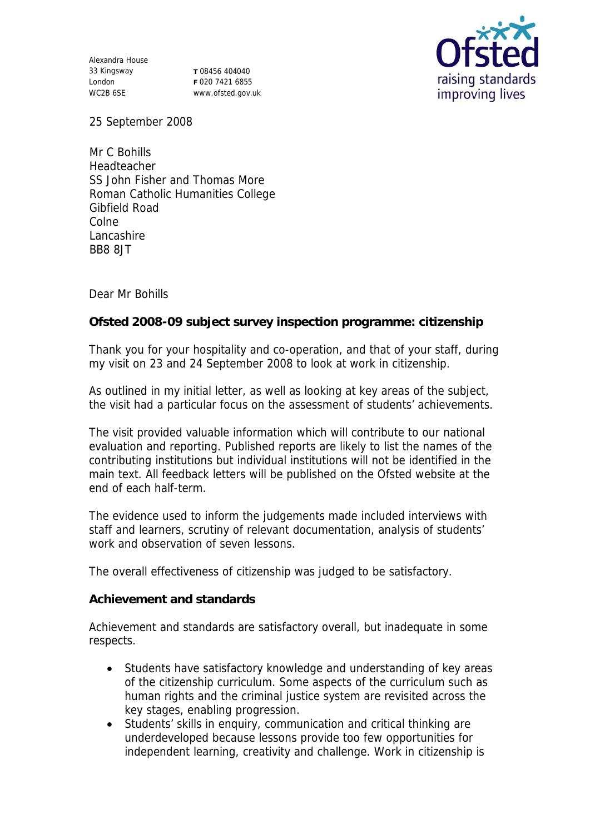Alexandra House 33 Kingsway London WC2B 6SE

**T** 08456 404040 **F** 020 7421 6855 www.ofsted.gov.uk



25 September 2008

Mr C Bohills Headteacher SS John Fisher and Thomas More Roman Catholic Humanities College Gibfield Road Colne Lancashire BB8 8JT

Dear Mr Bohills

**Ofsted 2008-09 subject survey inspection programme: citizenship**

Thank you for your hospitality and co-operation, and that of your staff, during my visit on 23 and 24 September 2008 to look at work in citizenship.

As outlined in my initial letter, as well as looking at key areas of the subject, the visit had a particular focus on the assessment of students' achievements.

The visit provided valuable information which will contribute to our national evaluation and reporting. Published reports are likely to list the names of the contributing institutions but individual institutions will not be identified in the main text. All feedback letters will be published on the Ofsted website at the end of each half-term.

The evidence used to inform the judgements made included interviews with staff and learners, scrutiny of relevant documentation, analysis of students' work and observation of seven lessons.

The overall effectiveness of citizenship was judged to be satisfactory.

**Achievement and standards** 

Achievement and standards are satisfactory overall, but inadequate in some respects.

- Students have satisfactory knowledge and understanding of key areas of the citizenship curriculum. Some aspects of the curriculum such as human rights and the criminal justice system are revisited across the key stages, enabling progression.
- Students' skills in enquiry, communication and critical thinking are underdeveloped because lessons provide too few opportunities for independent learning, creativity and challenge. Work in citizenship is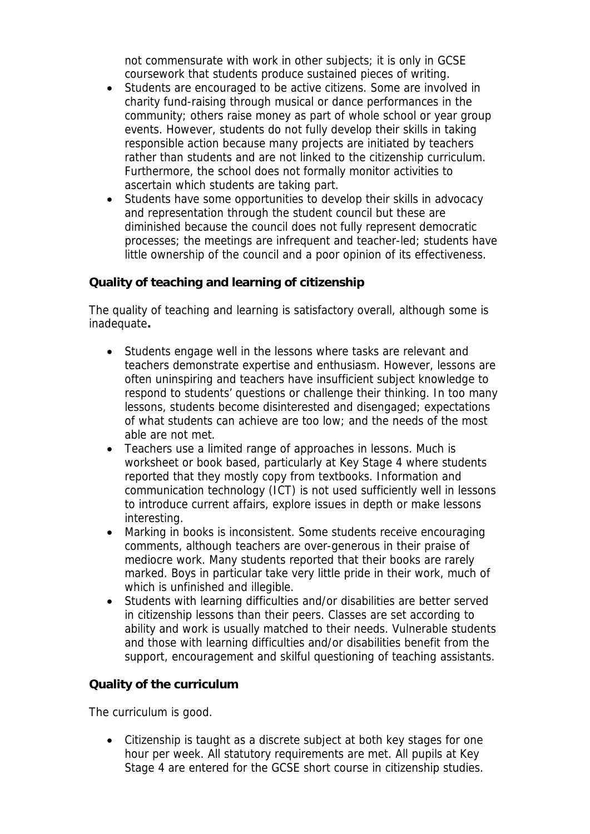not commensurate with work in other subjects; it is only in GCSE coursework that students produce sustained pieces of writing.

- Students are encouraged to be active citizens. Some are involved in charity fund-raising through musical or dance performances in the community; others raise money as part of whole school or year group events. However, students do not fully develop their skills in taking responsible action because many projects are initiated by teachers rather than students and are not linked to the citizenship curriculum. Furthermore, the school does not formally monitor activities to ascertain which students are taking part.
- Students have some opportunities to develop their skills in advocacy and representation through the student council but these are diminished because the council does not fully represent democratic processes; the meetings are infrequent and teacher-led; students have little ownership of the council and a poor opinion of its effectiveness.

## **Quality of teaching and learning of citizenship**

The quality of teaching and learning is satisfactory overall, although some is inadequate**.**

- Students engage well in the lessons where tasks are relevant and teachers demonstrate expertise and enthusiasm. However, lessons are often uninspiring and teachers have insufficient subject knowledge to respond to students' questions or challenge their thinking. In too many lessons, students become disinterested and disengaged; expectations of what students can achieve are too low; and the needs of the most able are not met.
- Teachers use a limited range of approaches in lessons. Much is worksheet or book based, particularly at Key Stage 4 where students reported that they mostly copy from textbooks. Information and communication technology (ICT) is not used sufficiently well in lessons to introduce current affairs, explore issues in depth or make lessons interesting.
- Marking in books is inconsistent. Some students receive encouraging comments, although teachers are over-generous in their praise of mediocre work. Many students reported that their books are rarely marked. Boys in particular take very little pride in their work, much of which is unfinished and illegible.
- Students with learning difficulties and/or disabilities are better served in citizenship lessons than their peers. Classes are set according to ability and work is usually matched to their needs. Vulnerable students and those with learning difficulties and/or disabilities benefit from the support, encouragement and skilful questioning of teaching assistants.

## **Quality of the curriculum**

The curriculum is good.

 Citizenship is taught as a discrete subject at both key stages for one hour per week. All statutory requirements are met. All pupils at Key Stage 4 are entered for the GCSE short course in citizenship studies.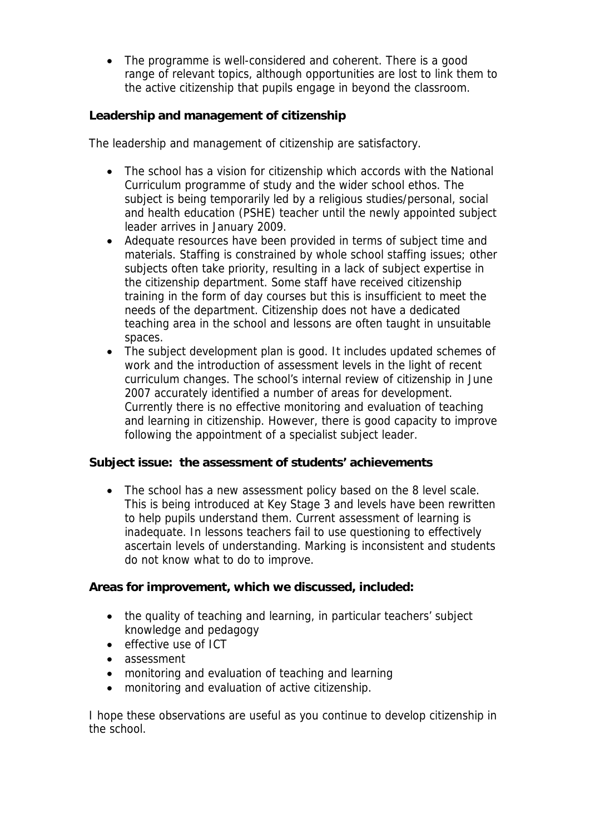• The programme is well-considered and coherent. There is a good range of relevant topics, although opportunities are lost to link them to the active citizenship that pupils engage in beyond the classroom.

**Leadership and management of citizenship**

The leadership and management of citizenship are satisfactory.

- The school has a vision for citizenship which accords with the National Curriculum programme of study and the wider school ethos. The subject is being temporarily led by a religious studies/personal, social and health education (PSHE) teacher until the newly appointed subject leader arrives in January 2009.
- Adequate resources have been provided in terms of subject time and materials. Staffing is constrained by whole school staffing issues; other subjects often take priority, resulting in a lack of subject expertise in the citizenship department. Some staff have received citizenship training in the form of day courses but this is insufficient to meet the needs of the department. Citizenship does not have a dedicated teaching area in the school and lessons are often taught in unsuitable spaces.
- The subject development plan is good. It includes updated schemes of work and the introduction of assessment levels in the light of recent curriculum changes. The school's internal review of citizenship in June 2007 accurately identified a number of areas for development. Currently there is no effective monitoring and evaluation of teaching and learning in citizenship. However, there is good capacity to improve following the appointment of a specialist subject leader.

**Subject issue: the assessment of students' achievements**

• The school has a new assessment policy based on the 8 level scale. This is being introduced at Key Stage 3 and levels have been rewritten to help pupils understand them. Current assessment of learning is inadequate. In lessons teachers fail to use questioning to effectively ascertain levels of understanding. Marking is inconsistent and students do not know what to do to improve.

**Areas for improvement, which we discussed, included:**

- the quality of teaching and learning, in particular teachers' subject knowledge and pedagogy
- effective use of ICT
- assessment
- monitoring and evaluation of teaching and learning
- monitoring and evaluation of active citizenship.

I hope these observations are useful as you continue to develop citizenship in the school.